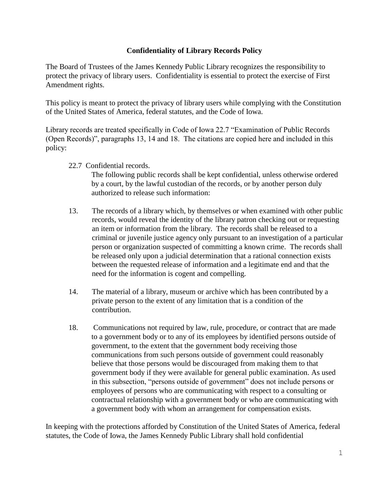## **Confidentiality of Library Records Policy**

The Board of Trustees of the James Kennedy Public Library recognizes the responsibility to protect the privacy of library users. Confidentiality is essential to protect the exercise of First Amendment rights.

This policy is meant to protect the privacy of library users while complying with the Constitution of the United States of America, federal statutes, and the Code of Iowa.

Library records are treated specifically in Code of Iowa 22.7 "Examination of Public Records (Open Records)", paragraphs 13, 14 and 18. The citations are copied here and included in this policy:

22.7 Confidential records.

The following public records shall be kept confidential, unless otherwise ordered by a court, by the lawful custodian of the records, or by another person duly authorized to release such information:

- 13. The records of a library which, by themselves or when examined with other public records, would reveal the identity of the library patron checking out or requesting an item or information from the library. The records shall be released to a criminal or juvenile justice agency only pursuant to an investigation of a particular person or organization suspected of committing a known crime. The records shall be released only upon a judicial determination that a rational connection exists between the requested release of information and a legitimate end and that the need for the information is cogent and compelling.
- 14. The material of a library, museum or archive which has been contributed by a private person to the extent of any limitation that is a condition of the contribution.
- 18. Communications not required by law, rule, procedure, or contract that are made to a government body or to any of its employees by identified persons outside of government, to the extent that the government body receiving those communications from such persons outside of government could reasonably believe that those persons would be discouraged from making them to that government body if they were available for general public examination. As used in this subsection, "persons outside of government" does not include persons or employees of persons who are communicating with respect to a consulting or contractual relationship with a government body or who are communicating with a government body with whom an arrangement for compensation exists.

In keeping with the protections afforded by Constitution of the United States of America, federal statutes, the Code of Iowa, the James Kennedy Public Library shall hold confidential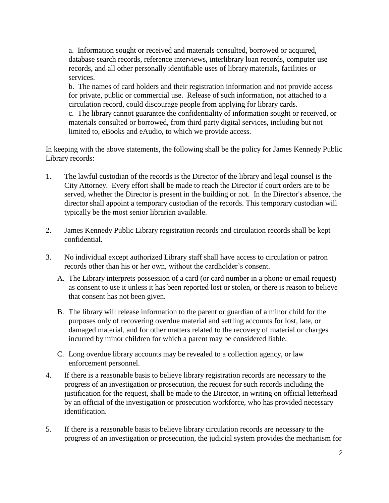a. Information sought or received and materials consulted, borrowed or acquired, database search records, reference interviews, interlibrary loan records, computer use records, and all other personally identifiable uses of library materials, facilities or services.

b. The names of card holders and their registration information and not provide access for private, public or commercial use. Release of such information, not attached to a circulation record, could discourage people from applying for library cards. c. The library cannot guarantee the confidentiality of information sought or received, or materials consulted or borrowed, from third party digital services, including but not limited to, eBooks and eAudio, to which we provide access.

In keeping with the above statements, the following shall be the policy for James Kennedy Public Library records:

- 1. The lawful custodian of the records is the Director of the library and legal counsel is the City Attorney. Every effort shall be made to reach the Director if court orders are to be served, whether the Director is present in the building or not. In the Director's absence, the director shall appoint a temporary custodian of the records. This temporary custodian will typically be the most senior librarian available.
- 2. James Kennedy Public Library registration records and circulation records shall be kept confidential.
- 3. No individual except authorized Library staff shall have access to circulation or patron records other than his or her own, without the cardholder's consent.
	- A. The Library interprets possession of a card (or card number in a phone or email request) as consent to use it unless it has been reported lost or stolen, or there is reason to believe that consent has not been given.
	- B. The library will release information to the parent or guardian of a minor child for the purposes only of recovering overdue material and settling accounts for lost, late, or damaged material, and for other matters related to the recovery of material or charges incurred by minor children for which a parent may be considered liable.
	- C. Long overdue library accounts may be revealed to a collection agency, or law enforcement personnel.
- 4. If there is a reasonable basis to believe library registration records are necessary to the progress of an investigation or prosecution, the request for such records including the justification for the request, shall be made to the Director, in writing on official letterhead by an official of the investigation or prosecution workforce, who has provided necessary identification.
- 5. If there is a reasonable basis to believe library circulation records are necessary to the progress of an investigation or prosecution, the judicial system provides the mechanism for